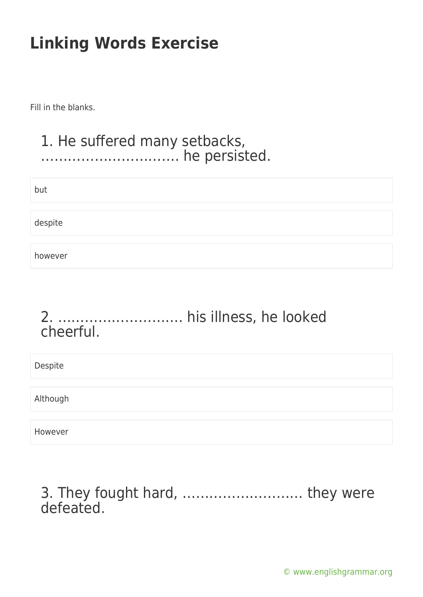Fill in the blanks.

#### 1. He suffered many setbacks, …………………………. he persisted.

| but     |  |  |  |
|---------|--|--|--|
| despite |  |  |  |
| however |  |  |  |

### 2. ………………………. his illness, he looked cheerful.

Despite Although However

3. They fought hard, ……………………… they were defeated.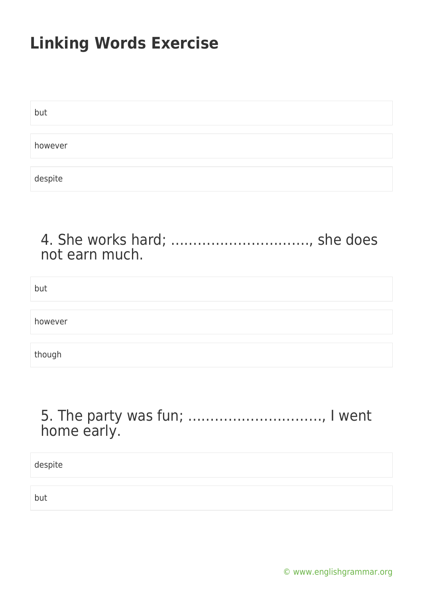| but     |  |  |
|---------|--|--|
|         |  |  |
| however |  |  |
|         |  |  |
| despite |  |  |

### 4. She works hard; …………………………., she does not earn much.

but

however

though

### 5. The party was fun; …………………………, I went home early.

despite

but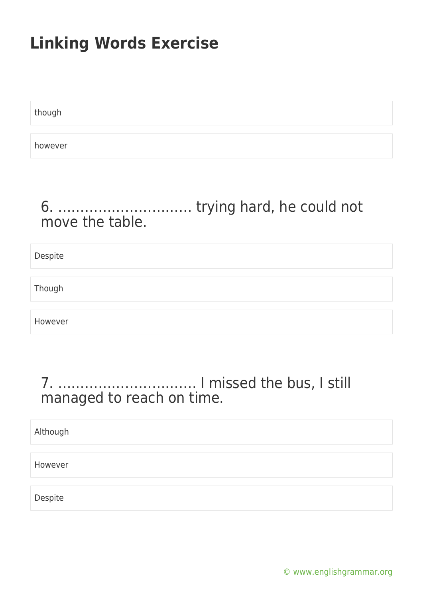though

however

### 6. ………………………… trying hard, he could not move the table.

Despite

Though

However

### 7. …………………………. I missed the bus, I still managed to reach on time.

Although

However

Despite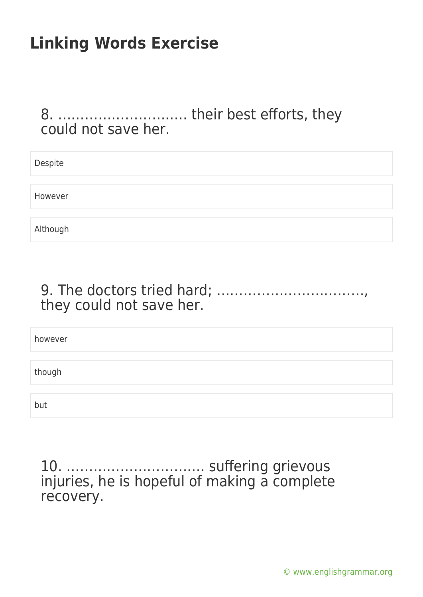#### 8. ……………………….. their best efforts, they could not save her.

| Despite  |  |
|----------|--|
|          |  |
| However  |  |
|          |  |
| Although |  |

### 9. The doctors tried hard; ……………………………, they could not save her.

however

though

but

10. …………………………. suffering grievous injuries, he is hopeful of making a complete recovery.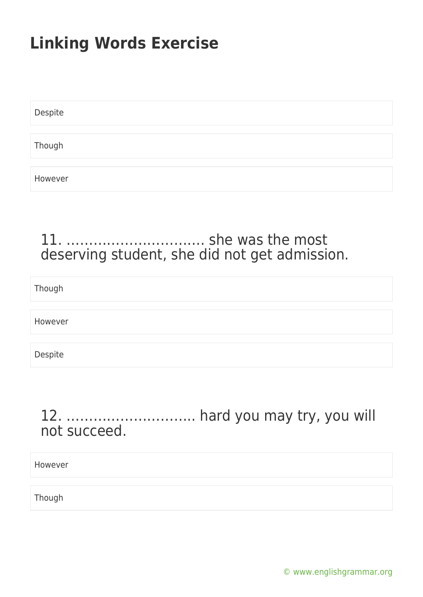| Despite |  |  |  |
|---------|--|--|--|
|         |  |  |  |
| Though  |  |  |  |
|         |  |  |  |
| However |  |  |  |

### 11. …………………………. she was the most deserving student, she did not get admission.

Though

However

Despite

### 12. ……………………….. hard you may try, you will not succeed.

However

Though

[© www.englishgrammar.org](https://www.englishgrammar.org/)